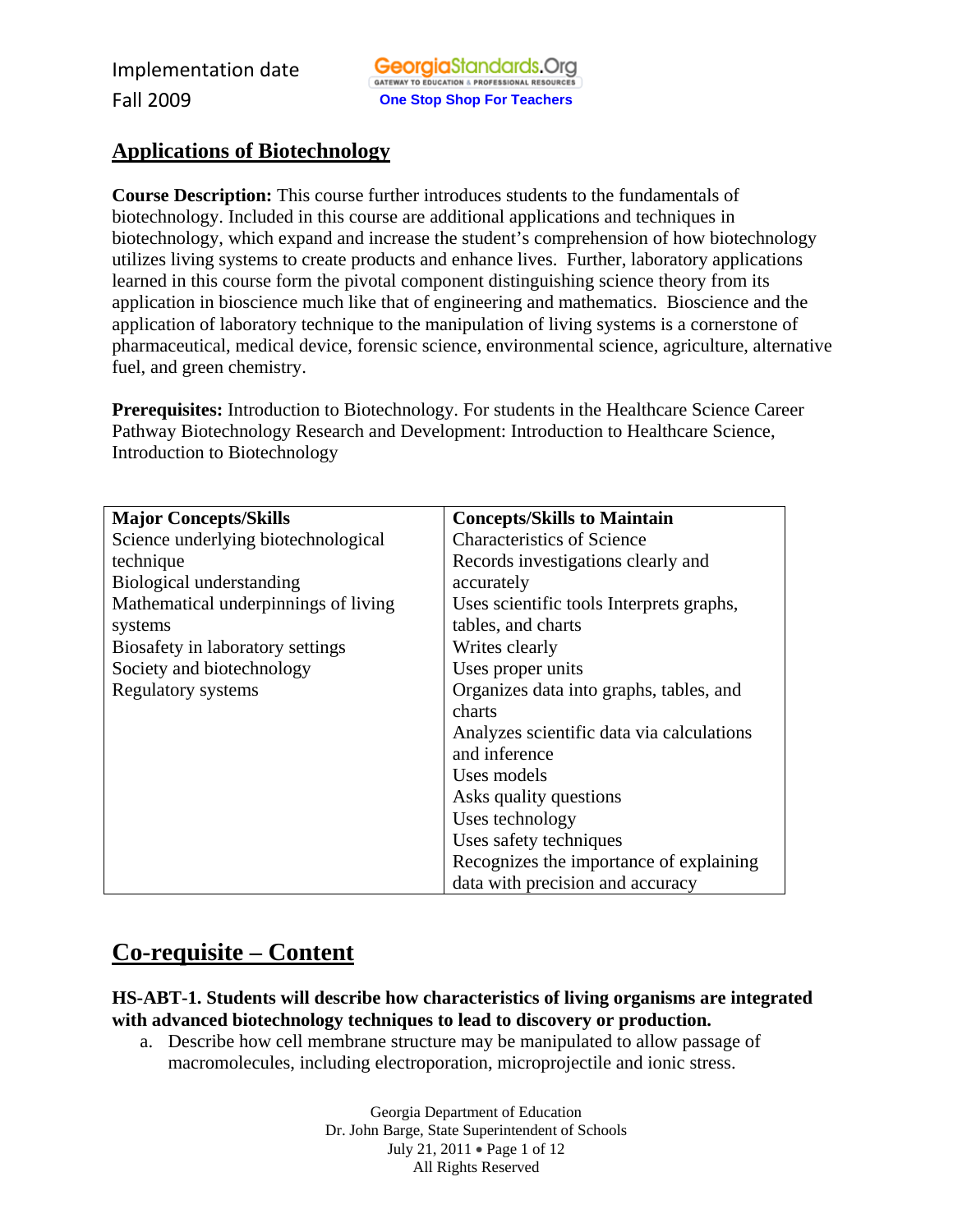## **Applications of Biotechnology**

**Course Description:** This course further introduces students to the fundamentals of biotechnology. Included in this course are additional applications and techniques in biotechnology, which expand and increase the student's comprehension of how biotechnology utilizes living systems to create products and enhance lives. Further, laboratory applications learned in this course form the pivotal component distinguishing science theory from its application in bioscience much like that of engineering and mathematics. Bioscience and the application of laboratory technique to the manipulation of living systems is a cornerstone of pharmaceutical, medical device, forensic science, environmental science, agriculture, alternative fuel, and green chemistry.

Prerequisites: Introduction to Biotechnology. For students in the Healthcare Science Career Pathway Biotechnology Research and Development: Introduction to Healthcare Science, Introduction to Biotechnology

| <b>Major Concepts/Skills</b>         | <b>Concepts/Skills to Maintain</b>        |
|--------------------------------------|-------------------------------------------|
| Science underlying biotechnological  | <b>Characteristics of Science</b>         |
| technique                            | Records investigations clearly and        |
| Biological understanding             | accurately                                |
| Mathematical underpinnings of living | Uses scientific tools Interprets graphs,  |
| systems                              | tables, and charts                        |
| Biosafety in laboratory settings     | Writes clearly                            |
| Society and biotechnology            | Uses proper units                         |
| Regulatory systems                   | Organizes data into graphs, tables, and   |
|                                      | charts                                    |
|                                      | Analyzes scientific data via calculations |
|                                      | and inference                             |
|                                      | Uses models                               |
|                                      | Asks quality questions                    |
|                                      | Uses technology                           |
|                                      | Uses safety techniques                    |
|                                      | Recognizes the importance of explaining   |
|                                      | data with precision and accuracy          |

## **Co-requisite – Content**

**HS-ABT-1. Students will describe how characteristics of living organisms are integrated with advanced biotechnology techniques to lead to discovery or production.** 

a. Describe how cell membrane structure may be manipulated to allow passage of macromolecules, including electroporation, microprojectile and ionic stress.

> Georgia Department of Education Dr. John Barge, State Superintendent of Schools July 21, 2011 • Page 1 of 12 All Rights Reserved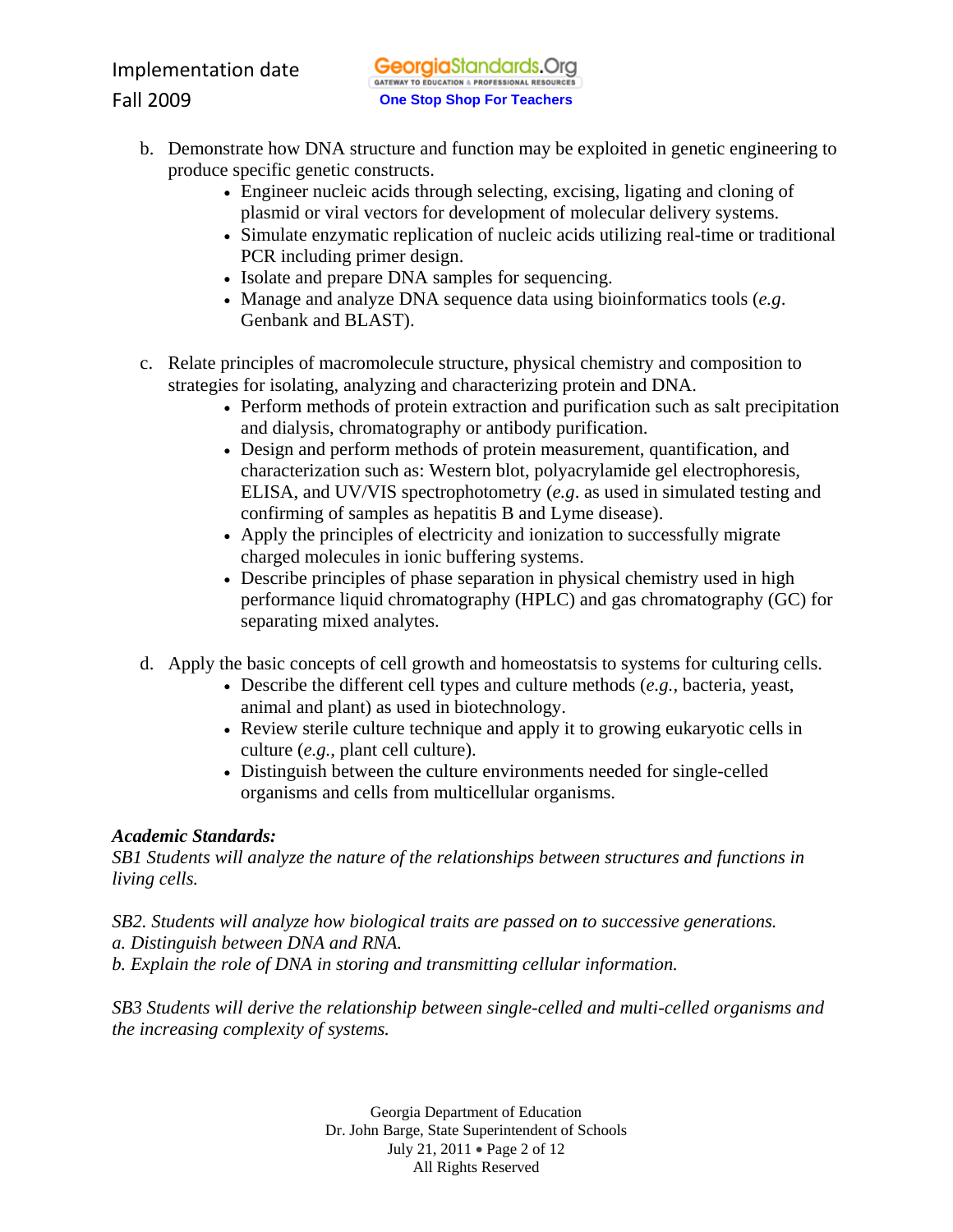- b. Demonstrate how DNA structure and function may be exploited in genetic engineering to produce specific genetic constructs.
	- Engineer nucleic acids through selecting, excising, ligating and cloning of plasmid or viral vectors for development of molecular delivery systems.
	- Simulate enzymatic replication of nucleic acids utilizing real-time or traditional PCR including primer design.
	- Isolate and prepare DNA samples for sequencing.
	- Manage and analyze DNA sequence data using bioinformatics tools (*e.g*. Genbank and BLAST).
- c. Relate principles of macromolecule structure, physical chemistry and composition to strategies for isolating, analyzing and characterizing protein and DNA.
	- Perform methods of protein extraction and purification such as salt precipitation and dialysis, chromatography or antibody purification.
	- Design and perform methods of protein measurement, quantification, and characterization such as: Western blot, polyacrylamide gel electrophoresis, ELISA, and UV/VIS spectrophotometry (*e.g*. as used in simulated testing and confirming of samples as hepatitis B and Lyme disease).
	- Apply the principles of electricity and ionization to successfully migrate charged molecules in ionic buffering systems.
	- Describe principles of phase separation in physical chemistry used in high performance liquid chromatography (HPLC) and gas chromatography (GC) for separating mixed analytes.
- d. Apply the basic concepts of cell growth and homeostatsis to systems for culturing cells.
	- Describe the different cell types and culture methods (*e.g.,* bacteria, yeast, animal and plant) as used in biotechnology.
	- Review sterile culture technique and apply it to growing eukaryotic cells in culture (*e.g.,* plant cell culture).
	- Distinguish between the culture environments needed for single-celled organisms and cells from multicellular organisms.

*SB1 Students will analyze the nature of the relationships between structures and functions in living cells.* 

*SB2. Students will analyze how biological traits are passed on to successive generations. a. Distinguish between DNA and RNA. b. Explain the role of DNA in storing and transmitting cellular information.* 

*SB3 Students will derive the relationship between single-celled and multi-celled organisms and the increasing complexity of systems.* 

> Georgia Department of Education Dr. John Barge, State Superintendent of Schools July 21, 2011 • Page 2 of 12 All Rights Reserved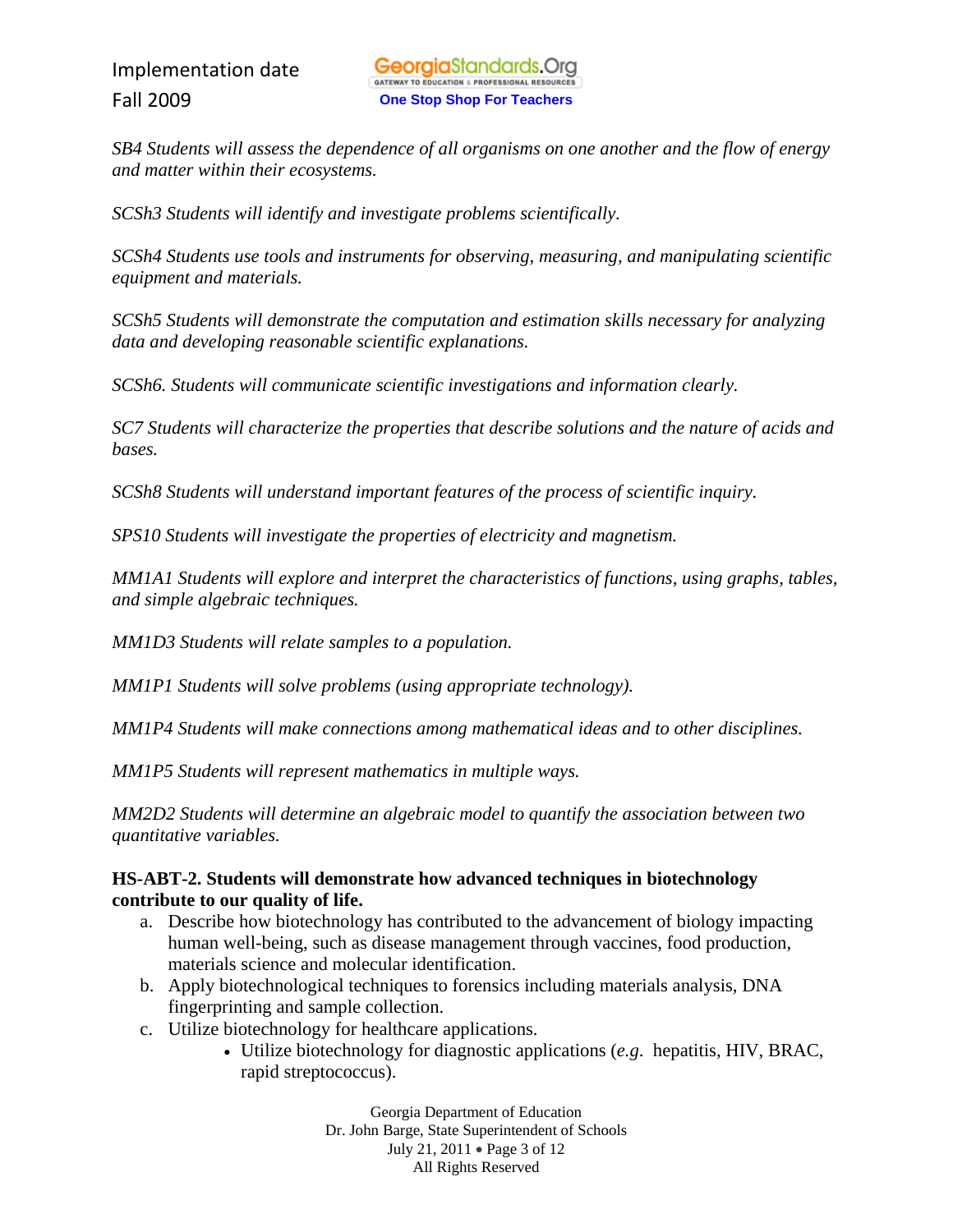*SB4 Students will assess the dependence of all organisms on one another and the flow of energy and matter within their ecosystems.* 

*SCSh3 Students will identify and investigate problems scientifically.* 

*SCSh4 Students use tools and instruments for observing, measuring, and manipulating scientific equipment and materials.* 

*SCSh5 Students will demonstrate the computation and estimation skills necessary for analyzing data and developing reasonable scientific explanations.* 

*SCSh6. Students will communicate scientific investigations and information clearly.* 

*SC7 Students will characterize the properties that describe solutions and the nature of acids and bases.* 

*SCSh8 Students will understand important features of the process of scientific inquiry.* 

*SPS10 Students will investigate the properties of electricity and magnetism.* 

*MM1A1 Students will explore and interpret the characteristics of functions, using graphs, tables, and simple algebraic techniques.* 

*MM1D3 Students will relate samples to a population.* 

*MM1P1 Students will solve problems (using appropriate technology).* 

*MM1P4 Students will make connections among mathematical ideas and to other disciplines.* 

*MM1P5 Students will represent mathematics in multiple ways.* 

*MM2D2 Students will determine an algebraic model to quantify the association between two quantitative variables.* 

## **HS-ABT-2. Students will demonstrate how advanced techniques in biotechnology contribute to our quality of life.**

- a. Describe how biotechnology has contributed to the advancement of biology impacting human well-being, such as disease management through vaccines, food production, materials science and molecular identification.
- b. Apply biotechnological techniques to forensics including materials analysis, DNA fingerprinting and sample collection.
- c. Utilize biotechnology for healthcare applications.
	- Utilize biotechnology for diagnostic applications (*e.g*. hepatitis, HIV, BRAC, rapid streptococcus).

Georgia Department of Education Dr. John Barge, State Superintendent of Schools July 21, 2011 • Page 3 of 12 All Rights Reserved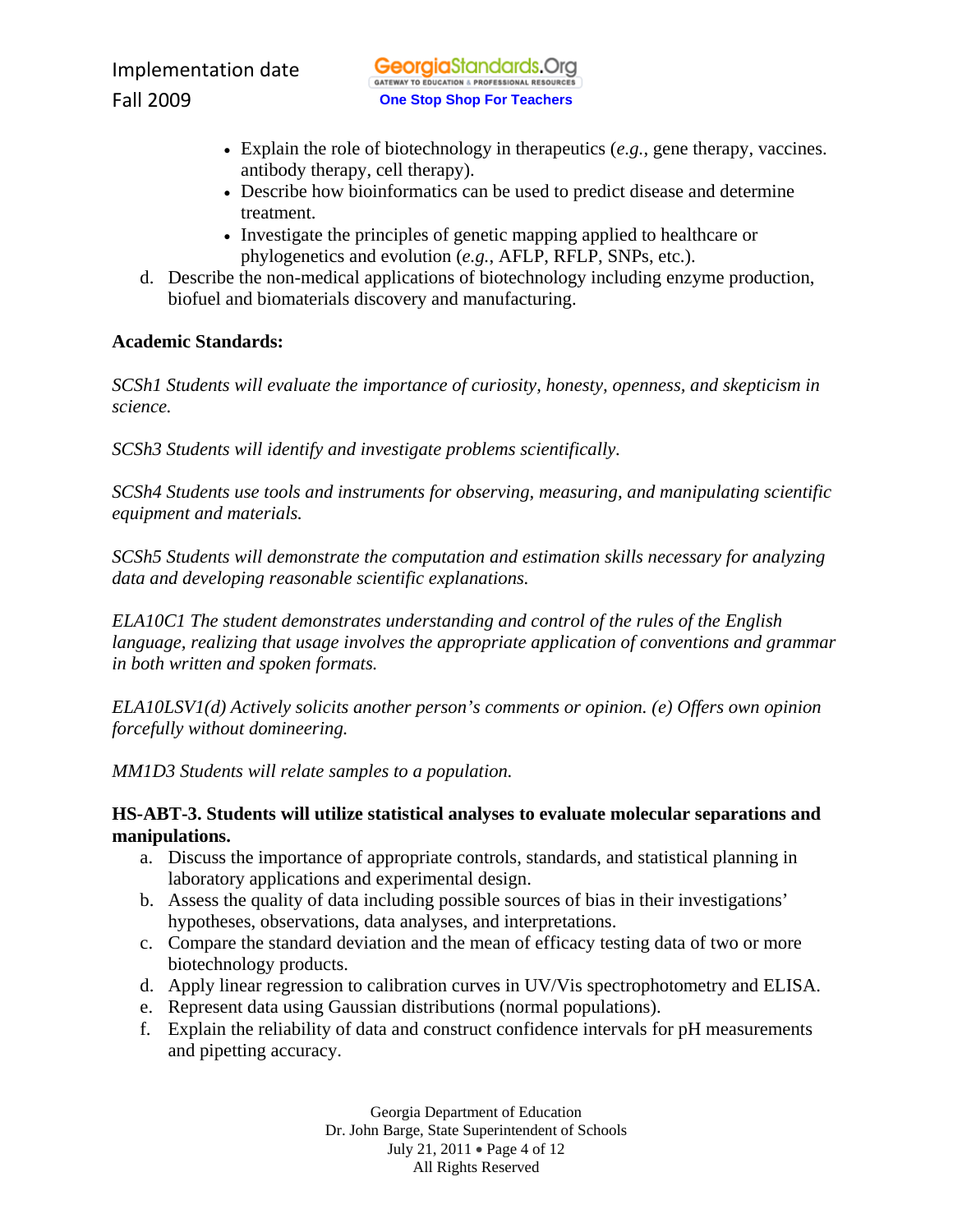- Explain the role of biotechnology in therapeutics (*e.g.*, gene therapy, vaccines. antibody therapy, cell therapy).
- Describe how bioinformatics can be used to predict disease and determine treatment.
- Investigate the principles of genetic mapping applied to healthcare or phylogenetics and evolution (*e.g.*, AFLP, RFLP, SNPs, etc.).
- d. Describe the non-medical applications of biotechnology including enzyme production, biofuel and biomaterials discovery and manufacturing.

*SCSh1 Students will evaluate the importance of curiosity, honesty, openness, and skepticism in science.* 

*SCSh3 Students will identify and investigate problems scientifically.* 

*SCSh4 Students use tools and instruments for observing, measuring, and manipulating scientific equipment and materials.* 

*SCSh5 Students will demonstrate the computation and estimation skills necessary for analyzing data and developing reasonable scientific explanations.* 

*ELA10C1 The student demonstrates understanding and control of the rules of the English language, realizing that usage involves the appropriate application of conventions and grammar in both written and spoken formats.* 

*ELA10LSV1(d) Actively solicits another person's comments or opinion. (e) Offers own opinion forcefully without domineering.* 

*MM1D3 Students will relate samples to a population.* 

## **HS-ABT-3. Students will utilize statistical analyses to evaluate molecular separations and manipulations.**

- a. Discuss the importance of appropriate controls, standards, and statistical planning in laboratory applications and experimental design.
- b. Assess the quality of data including possible sources of bias in their investigations' hypotheses, observations, data analyses, and interpretations.
- c. Compare the standard deviation and the mean of efficacy testing data of two or more biotechnology products.
- d. Apply linear regression to calibration curves in UV/Vis spectrophotometry and ELISA.
- e. Represent data using Gaussian distributions (normal populations).
- f. Explain the reliability of data and construct confidence intervals for pH measurements and pipetting accuracy.

Georgia Department of Education Dr. John Barge, State Superintendent of Schools July 21, 2011 • Page 4 of 12 All Rights Reserved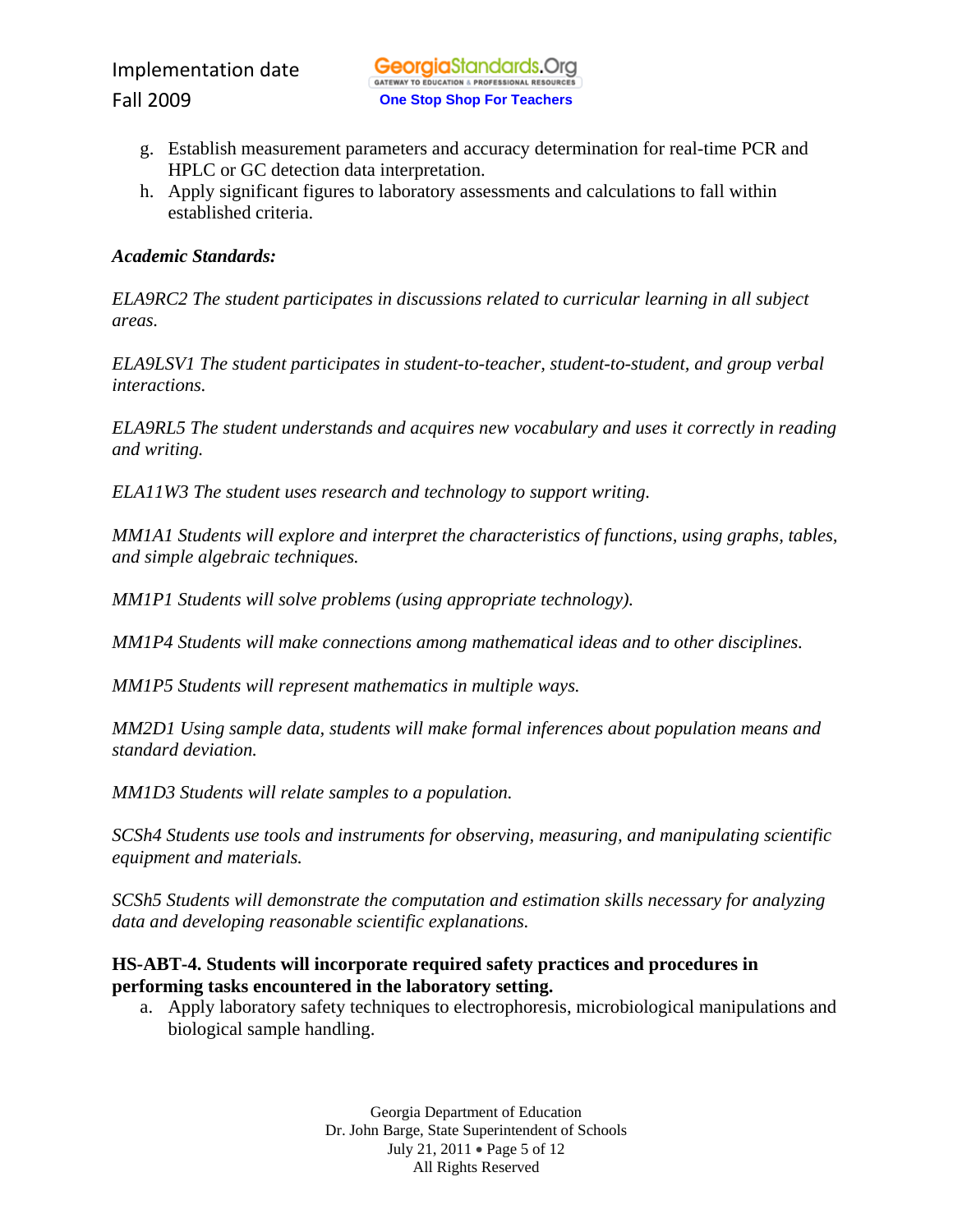- g. Establish measurement parameters and accuracy determination for real-time PCR and HPLC or GC detection data interpretation.
- h. Apply significant figures to laboratory assessments and calculations to fall within established criteria.

*ELA9RC2 The student participates in discussions related to curricular learning in all subject areas.* 

*ELA9LSV1 The student participates in student-to-teacher, student-to-student, and group verbal interactions.* 

*ELA9RL5 The student understands and acquires new vocabulary and uses it correctly in reading and writing.* 

*ELA11W3 The student uses research and technology to support writing.* 

*MM1A1 Students will explore and interpret the characteristics of functions, using graphs, tables, and simple algebraic techniques.* 

*MM1P1 Students will solve problems (using appropriate technology).* 

*MM1P4 Students will make connections among mathematical ideas and to other disciplines.* 

*MM1P5 Students will represent mathematics in multiple ways.* 

*MM2D1 Using sample data, students will make formal inferences about population means and standard deviation.* 

*MM1D3 Students will relate samples to a population.* 

*SCSh4 Students use tools and instruments for observing, measuring, and manipulating scientific equipment and materials.* 

*SCSh5 Students will demonstrate the computation and estimation skills necessary for analyzing data and developing reasonable scientific explanations.* 

## **HS-ABT-4. Students will incorporate required safety practices and procedures in performing tasks encountered in the laboratory setting.**

a. Apply laboratory safety techniques to electrophoresis, microbiological manipulations and biological sample handling.

> Georgia Department of Education Dr. John Barge, State Superintendent of Schools July 21, 2011 • Page 5 of 12 All Rights Reserved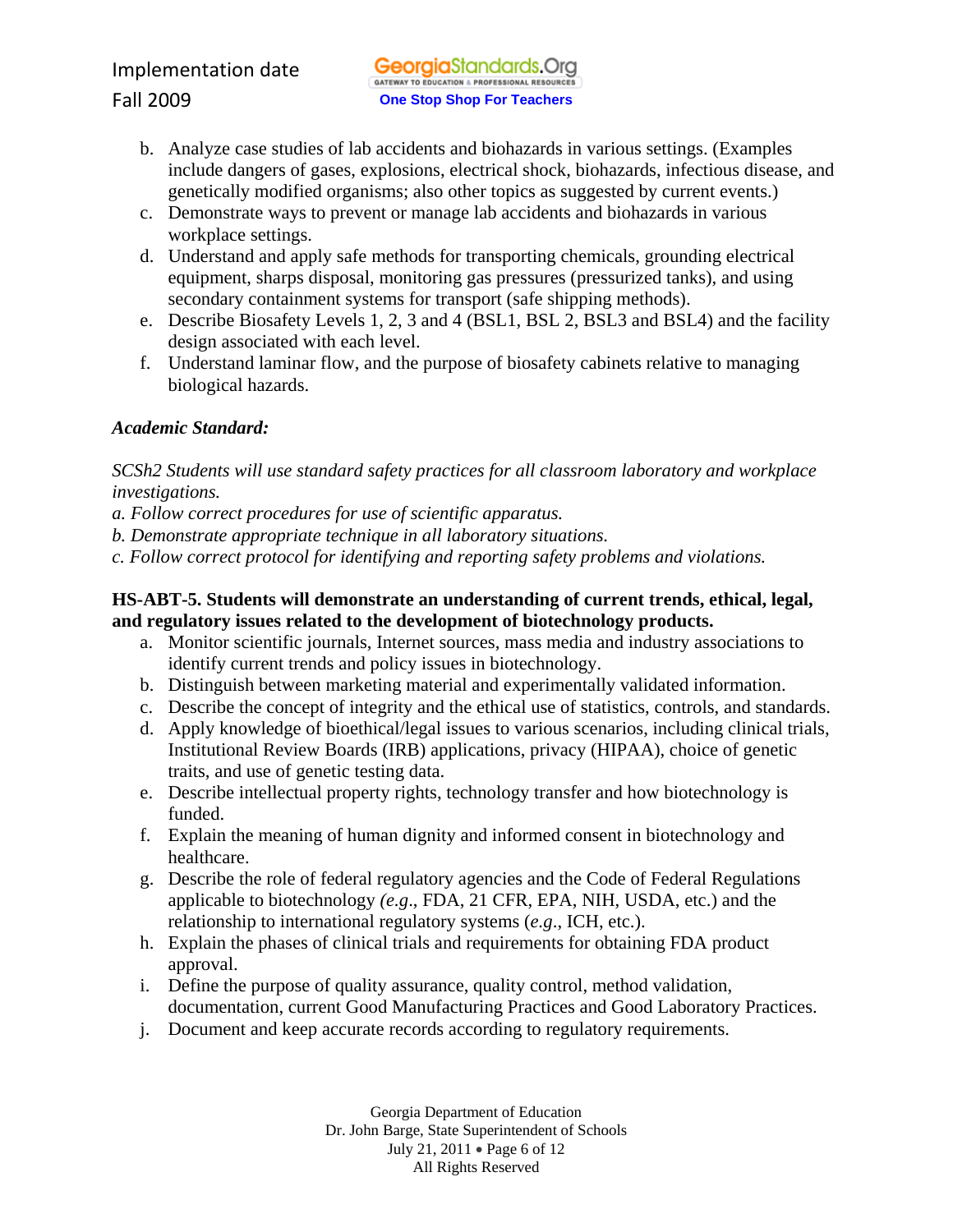- b. Analyze case studies of lab accidents and biohazards in various settings. (Examples include dangers of gases, explosions, electrical shock, biohazards, infectious disease, and genetically modified organisms; also other topics as suggested by current events.)
- c. Demonstrate ways to prevent or manage lab accidents and biohazards in various workplace settings.
- d. Understand and apply safe methods for transporting chemicals, grounding electrical equipment, sharps disposal, monitoring gas pressures (pressurized tanks), and using secondary containment systems for transport (safe shipping methods).
- e. Describe Biosafety Levels 1, 2, 3 and 4 (BSL1, BSL 2, BSL3 and BSL4) and the facility design associated with each level.
- f. Understand laminar flow, and the purpose of biosafety cabinets relative to managing biological hazards.

*SCSh2 Students will use standard safety practices for all classroom laboratory and workplace investigations.*

*a. Follow correct procedures for use of scientific apparatus.* 

- *b. Demonstrate appropriate technique in all laboratory situations.*
- *c. Follow correct protocol for identifying and reporting safety problems and violations.*

## **HS-ABT-5. Students will demonstrate an understanding of current trends, ethical, legal, and regulatory issues related to the development of biotechnology products.**

- a. Monitor scientific journals, Internet sources, mass media and industry associations to identify current trends and policy issues in biotechnology.
- b. Distinguish between marketing material and experimentally validated information.
- c. Describe the concept of integrity and the ethical use of statistics, controls, and standards.
- d. Apply knowledge of bioethical/legal issues to various scenarios, including clinical trials, Institutional Review Boards (IRB) applications, privacy (HIPAA), choice of genetic traits, and use of genetic testing data.
- e. Describe intellectual property rights, technology transfer and how biotechnology is funded.
- f. Explain the meaning of human dignity and informed consent in biotechnology and healthcare.
- g. Describe the role of federal regulatory agencies and the Code of Federal Regulations applicable to biotechnology *(e.g*., FDA, 21 CFR, EPA, NIH, USDA, etc.) and the relationship to international regulatory systems (*e.g*., ICH, etc.).
- h. Explain the phases of clinical trials and requirements for obtaining FDA product approval.
- i. Define the purpose of quality assurance, quality control, method validation, documentation, current Good Manufacturing Practices and Good Laboratory Practices.
- j. Document and keep accurate records according to regulatory requirements.

Georgia Department of Education Dr. John Barge, State Superintendent of Schools July 21, 2011 • Page 6 of 12 All Rights Reserved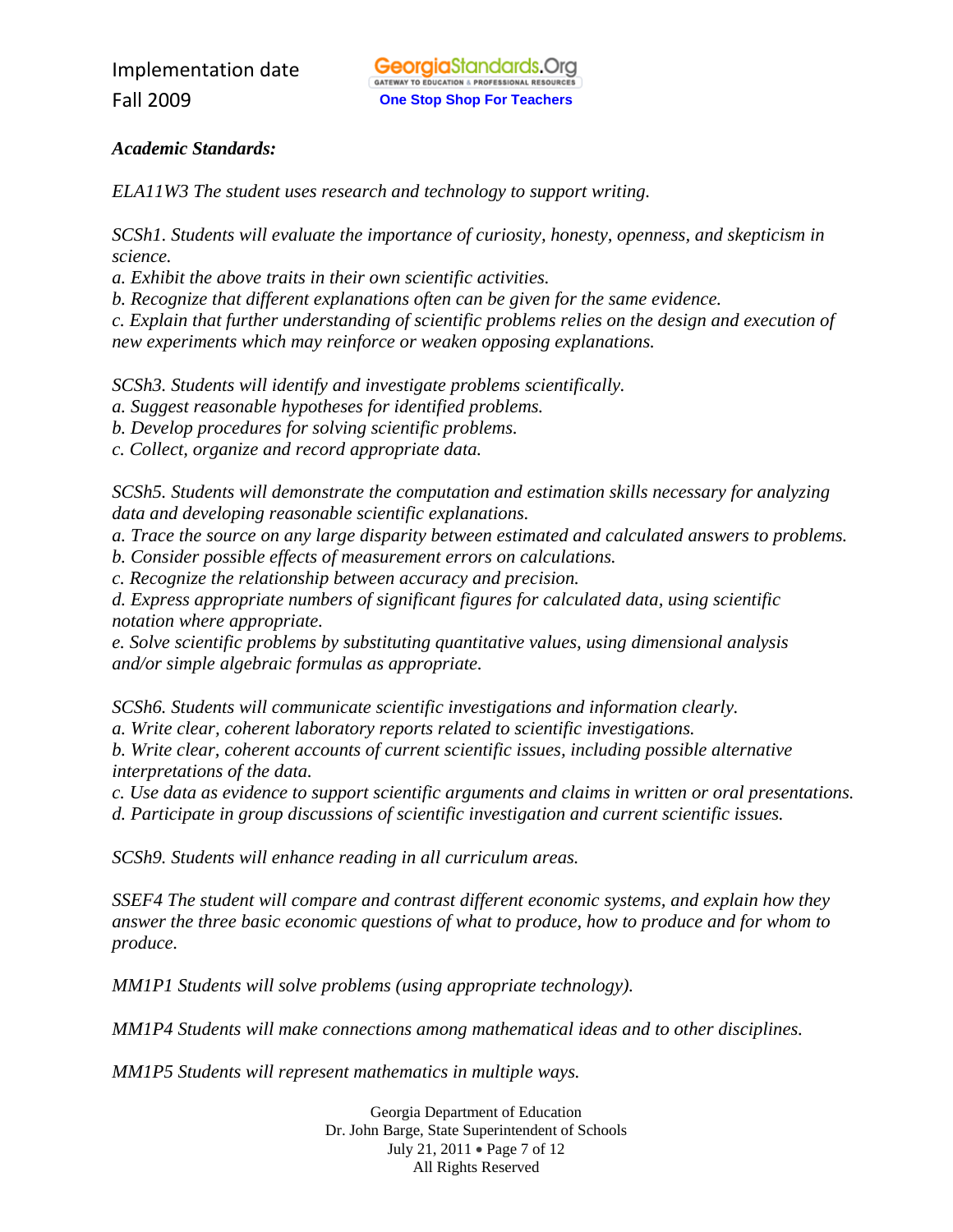*ELA11W3 The student uses research and technology to support writing.* 

*SCSh1. Students will evaluate the importance of curiosity, honesty, openness, and skepticism in science.* 

*a. Exhibit the above traits in their own scientific activities.* 

*b. Recognize that different explanations often can be given for the same evidence.* 

*c. Explain that further understanding of scientific problems relies on the design and execution of new experiments which may reinforce or weaken opposing explanations.* 

*SCSh3. Students will identify and investigate problems scientifically.* 

*a. Suggest reasonable hypotheses for identified problems.* 

*b. Develop procedures for solving scientific problems.* 

*c. Collect, organize and record appropriate data.* 

*SCSh5. Students will demonstrate the computation and estimation skills necessary for analyzing data and developing reasonable scientific explanations.* 

*a. Trace the source on any large disparity between estimated and calculated answers to problems.* 

*b. Consider possible effects of measurement errors on calculations.* 

*c. Recognize the relationship between accuracy and precision.* 

*d. Express appropriate numbers of significant figures for calculated data, using scientific notation where appropriate.* 

*e. Solve scientific problems by substituting quantitative values, using dimensional analysis and/or simple algebraic formulas as appropriate.* 

*SCSh6. Students will communicate scientific investigations and information clearly.* 

*a. Write clear, coherent laboratory reports related to scientific investigations.* 

*b. Write clear, coherent accounts of current scientific issues, including possible alternative interpretations of the data.* 

*c. Use data as evidence to support scientific arguments and claims in written or oral presentations. d. Participate in group discussions of scientific investigation and current scientific issues.* 

*SCSh9. Students will enhance reading in all curriculum areas.* 

*SSEF4 The student will compare and contrast different economic systems, and explain how they answer the three basic economic questions of what to produce, how to produce and for whom to produce.* 

*MM1P1 Students will solve problems (using appropriate technology).* 

*MM1P4 Students will make connections among mathematical ideas and to other disciplines.* 

*MM1P5 Students will represent mathematics in multiple ways.* 

Georgia Department of Education Dr. John Barge, State Superintendent of Schools July 21, 2011 • Page 7 of 12 All Rights Reserved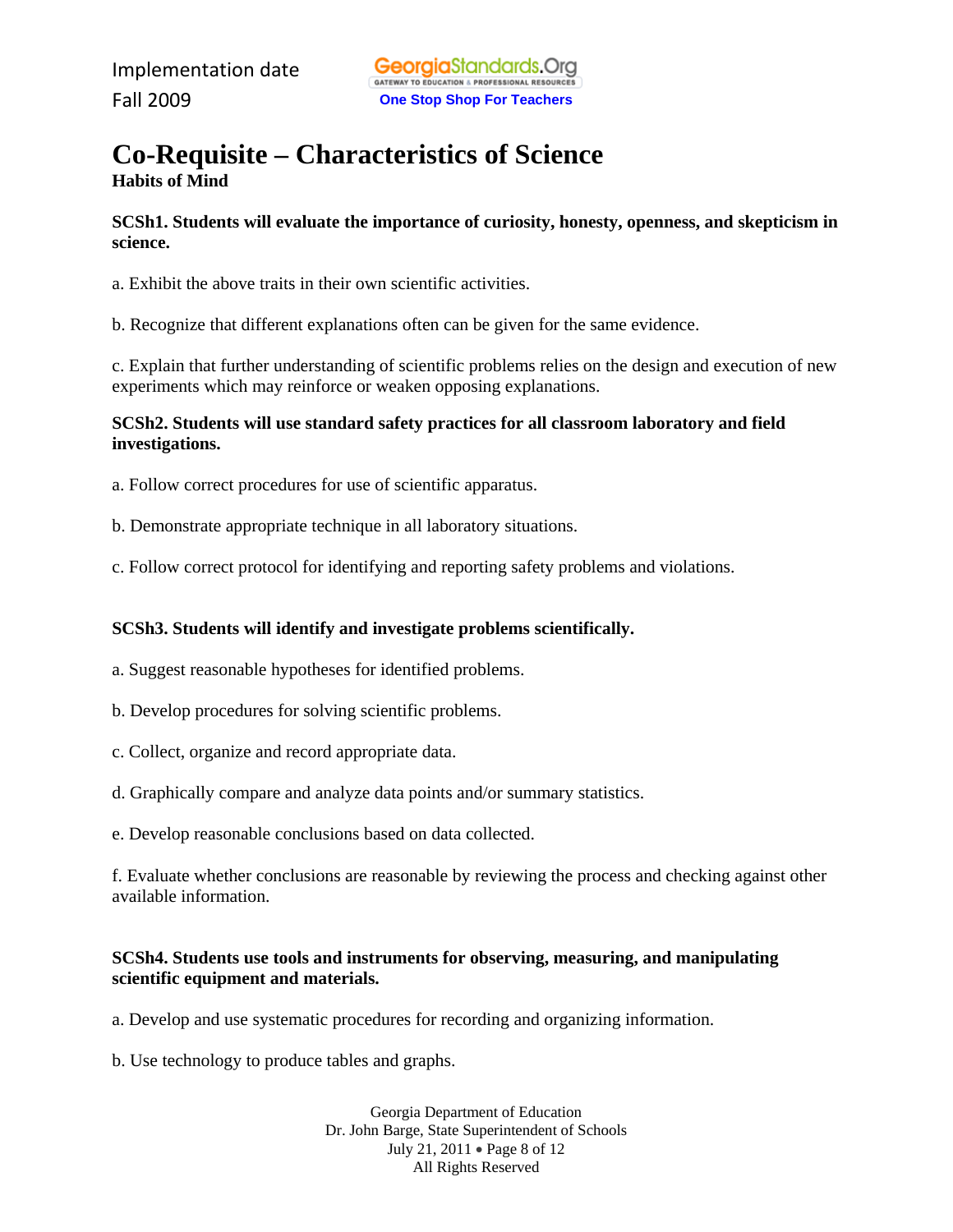## **Co-Requisite – Characteristics of Science Habits of Mind**

**SCSh1. Students will evaluate the importance of curiosity, honesty, openness, and skepticism in science.** 

a. Exhibit the above traits in their own scientific activities.

b. Recognize that different explanations often can be given for the same evidence.

c. Explain that further understanding of scientific problems relies on the design and execution of new experiments which may reinforce or weaken opposing explanations.

#### **SCSh2. Students will use standard safety practices for all classroom laboratory and field investigations.**

- a. Follow correct procedures for use of scientific apparatus.
- b. Demonstrate appropriate technique in all laboratory situations.
- c. Follow correct protocol for identifying and reporting safety problems and violations.

#### **SCSh3. Students will identify and investigate problems scientifically.**

- a. Suggest reasonable hypotheses for identified problems.
- b. Develop procedures for solving scientific problems.
- c. Collect, organize and record appropriate data.
- d. Graphically compare and analyze data points and/or summary statistics.
- e. Develop reasonable conclusions based on data collected.

f. Evaluate whether conclusions are reasonable by reviewing the process and checking against other available information.

#### **SCSh4. Students use tools and instruments for observing, measuring, and manipulating scientific equipment and materials.**

a. Develop and use systematic procedures for recording and organizing information.

b. Use technology to produce tables and graphs.

Georgia Department of Education Dr. John Barge, State Superintendent of Schools July 21, 2011 • Page 8 of 12 All Rights Reserved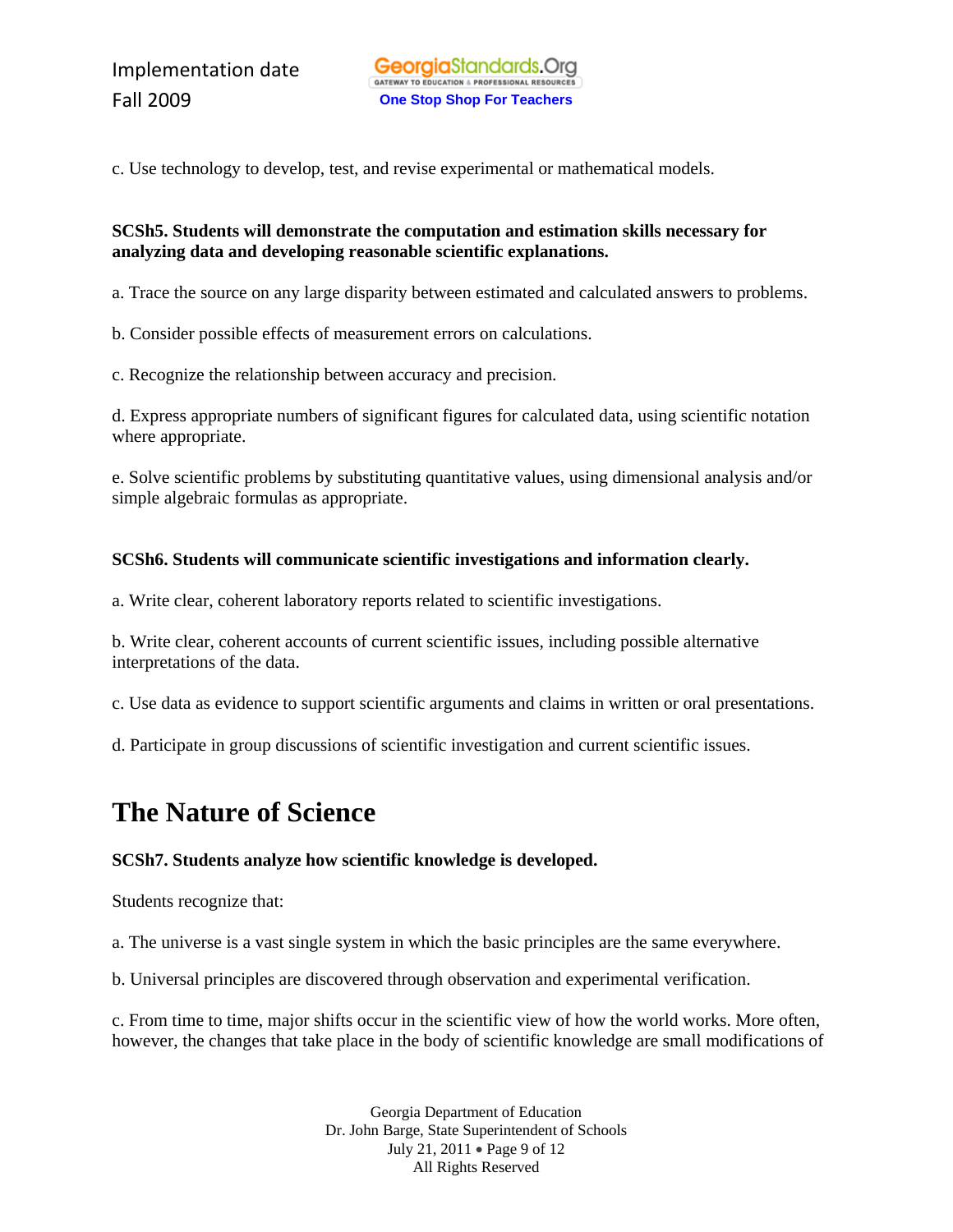c. Use technology to develop, test, and revise experimental or mathematical models.

#### **SCSh5. Students will demonstrate the computation and estimation skills necessary for analyzing data and developing reasonable scientific explanations.**

a. Trace the source on any large disparity between estimated and calculated answers to problems.

b. Consider possible effects of measurement errors on calculations.

c. Recognize the relationship between accuracy and precision.

d. Express appropriate numbers of significant figures for calculated data, using scientific notation where appropriate.

e. Solve scientific problems by substituting quantitative values, using dimensional analysis and/or simple algebraic formulas as appropriate.

## **SCSh6. Students will communicate scientific investigations and information clearly.**

a. Write clear, coherent laboratory reports related to scientific investigations.

b. Write clear, coherent accounts of current scientific issues, including possible alternative interpretations of the data.

c. Use data as evidence to support scientific arguments and claims in written or oral presentations.

d. Participate in group discussions of scientific investigation and current scientific issues.

# **The Nature of Science**

#### **SCSh7. Students analyze how scientific knowledge is developed.**

Students recognize that:

a. The universe is a vast single system in which the basic principles are the same everywhere.

b. Universal principles are discovered through observation and experimental verification.

c. From time to time, major shifts occur in the scientific view of how the world works. More often, however, the changes that take place in the body of scientific knowledge are small modifications of

> Georgia Department of Education Dr. John Barge, State Superintendent of Schools July 21, 2011 • Page 9 of 12 All Rights Reserved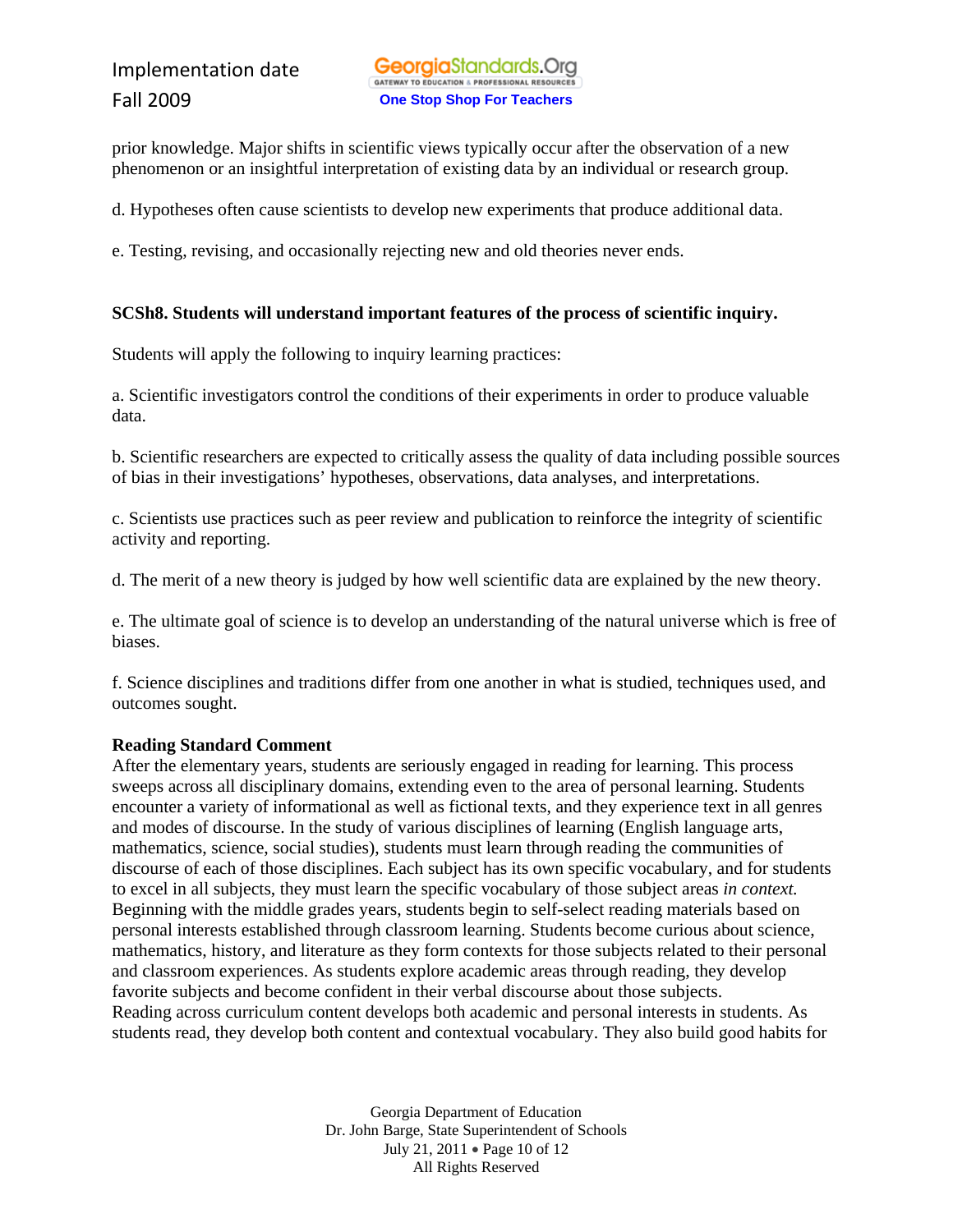prior knowledge. Major shifts in scientific views typically occur after the observation of a new phenomenon or an insightful interpretation of existing data by an individual or research group.

d. Hypotheses often cause scientists to develop new experiments that produce additional data.

e. Testing, revising, and occasionally rejecting new and old theories never ends.

#### **SCSh8. Students will understand important features of the process of scientific inquiry.**

Students will apply the following to inquiry learning practices:

a. Scientific investigators control the conditions of their experiments in order to produce valuable data.

b. Scientific researchers are expected to critically assess the quality of data including possible sources of bias in their investigations' hypotheses, observations, data analyses, and interpretations.

c. Scientists use practices such as peer review and publication to reinforce the integrity of scientific activity and reporting.

d. The merit of a new theory is judged by how well scientific data are explained by the new theory.

e. The ultimate goal of science is to develop an understanding of the natural universe which is free of biases.

f. Science disciplines and traditions differ from one another in what is studied, techniques used, and outcomes sought.

#### **Reading Standard Comment**

After the elementary years, students are seriously engaged in reading for learning. This process sweeps across all disciplinary domains, extending even to the area of personal learning. Students encounter a variety of informational as well as fictional texts, and they experience text in all genres and modes of discourse. In the study of various disciplines of learning (English language arts, mathematics, science, social studies), students must learn through reading the communities of discourse of each of those disciplines. Each subject has its own specific vocabulary, and for students to excel in all subjects, they must learn the specific vocabulary of those subject areas *in context.*  Beginning with the middle grades years, students begin to self-select reading materials based on personal interests established through classroom learning. Students become curious about science, mathematics, history, and literature as they form contexts for those subjects related to their personal and classroom experiences. As students explore academic areas through reading, they develop favorite subjects and become confident in their verbal discourse about those subjects. Reading across curriculum content develops both academic and personal interests in students. As students read, they develop both content and contextual vocabulary. They also build good habits for

> Georgia Department of Education Dr. John Barge, State Superintendent of Schools July 21, 2011 • Page 10 of 12 All Rights Reserved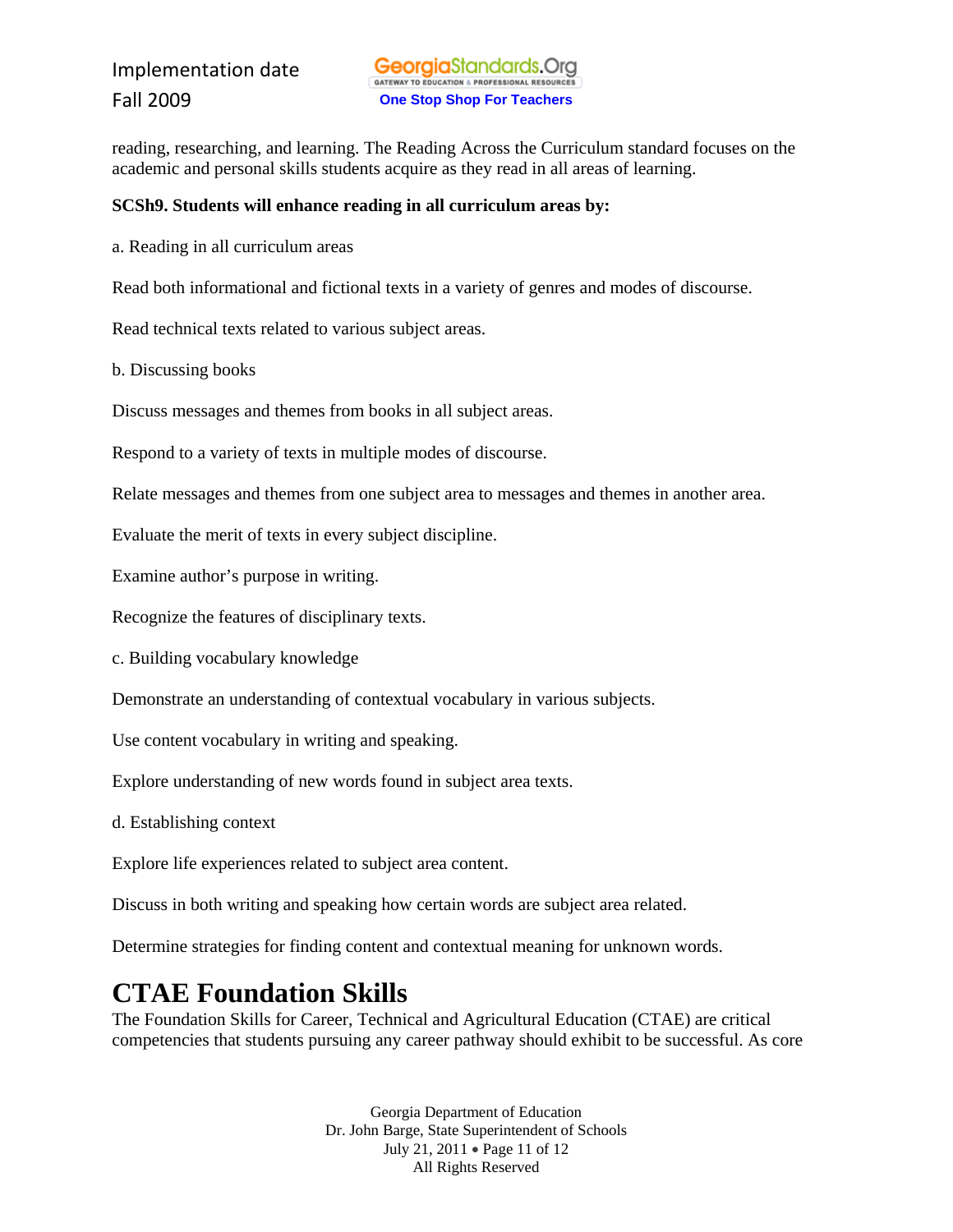reading, researching, and learning. The Reading Across the Curriculum standard focuses on the academic and personal skills students acquire as they read in all areas of learning.

#### **SCSh9. Students will enhance reading in all curriculum areas by:**

a. Reading in all curriculum areas

Read both informational and fictional texts in a variety of genres and modes of discourse.

Read technical texts related to various subject areas.

b. Discussing books

Discuss messages and themes from books in all subject areas.

Respond to a variety of texts in multiple modes of discourse.

Relate messages and themes from one subject area to messages and themes in another area.

Evaluate the merit of texts in every subject discipline.

Examine author's purpose in writing.

Recognize the features of disciplinary texts.

c. Building vocabulary knowledge

Demonstrate an understanding of contextual vocabulary in various subjects.

Use content vocabulary in writing and speaking.

Explore understanding of new words found in subject area texts.

d. Establishing context

Explore life experiences related to subject area content.

Discuss in both writing and speaking how certain words are subject area related.

Determine strategies for finding content and contextual meaning for unknown words.

# **CTAE Foundation Skills**

The Foundation Skills for Career, Technical and Agricultural Education (CTAE) are critical competencies that students pursuing any career pathway should exhibit to be successful. As core

> Georgia Department of Education Dr. John Barge, State Superintendent of Schools July 21, 2011 • Page 11 of 12 All Rights Reserved